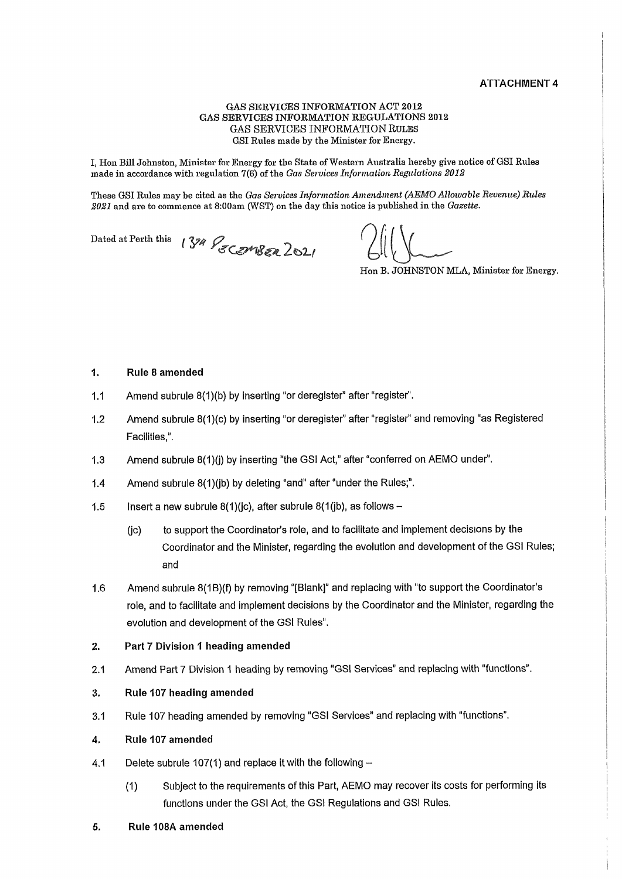#### ATTACHMENT 4

#### GAS SERVICES INFORMATION ACT 2012 GAS SERVICES INFORMATION REGULATIONS 2012 GAS SERVICES INFORMATION RULES GSI Rules made by the Minister for Energy.

I, Hon Bill Johnston, Minister for Energy for the State of Western Australia hereby give notice of GSI Rules made in accordance with regulation  $7(6)$  of the Gas Services Information Regulations 2012

These GSI Rules may be cited as the Gas Services Information Amendment (AEMO Allowable Revenue) Rules 2021 and are to commence at 8:00am (WST) on the day this notice is published in the Gazette.

Dated at Perth this  $134\%$  COMBER 2021

Hon B. JOHNSTON MLA, Minister for Energy.

#### 1. Rule 8 amended

- 1.1 Amend subrule  $8(1)(b)$  by inserting "or deregister" after "register".
- 1.2 Amend subrule 8(1)(c) by inserting "or deregister" after "register" and removing "as Registered Facilities,".
- 1.3 Amend subrule  $8(1)(j)$  by inserting "the GSI Act," after "conferred on AEMO under".
- 1.4 Amend subrule  $8(1)$ (jb) by deleting "and" after "under the Rules;".
- 1.5 Insert a new subrule 8(1)(jc), after subrule 8(1(jb), as follows  $-$ 
	- (ic) to support the Coordinator's role, and to facilitate and implement decisions by the Coordinator and the Minister, regarding the evolution and development of the GSI Rules; and
- 1.6 Amend subrule 8(1B)(f) by removing "[Blank]" and replacing with "to support the Coordinator's role, and to facilitate and implement decisions by the Coordinator and the Minister, regarding the evolution and development of the GSI Rules".

## 2. Part 7 Division 1 heading amended

2.1 Amend Part 7 Division 1 heading by removing "GSI Services" and replacing with "functions".

## 3. Rule 107 heading amended

3.1 Rule 107 heading amended by removing "GSI Services" and replacing with "functions .

#### 4. Rule 107 amended

- 4.1 Delete subrule 107(1) and replace it with the following  $-$ 
	- (1) Subject to the requirements of this Part, AEMO may recover its costs for performing its functions under the GSI Act, the GSI Regulations and GSI Rules.
- 5. Rule 108A amended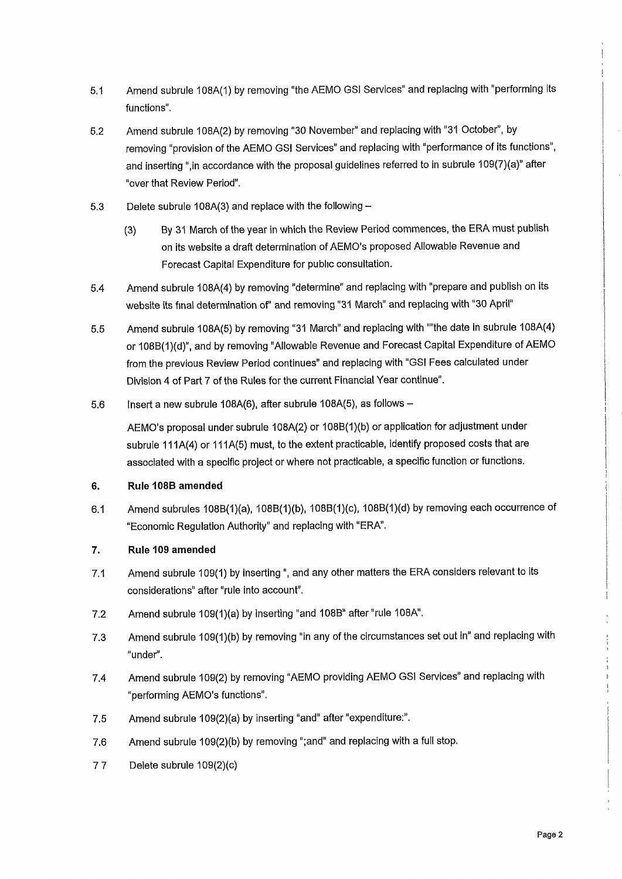- 5.1 Amend subrule 108A(1) by removing "the AEMO GSI Services" and replacing with "performing its functions".
- 5.2 Amend subrule 108A(2) by removing "30 November" and replacing with "31 October", by removing "provision of the AEMO GSI Services" and replacing with "performance of its functions", and inserting ", in accordance with the proposal guidelines referred to in subrule 109(7)(a)" after "over that Review Period".
- 5.3 Delete subrule 108A(3) and replace with the following  $-$ 
	- (3) By 31 March of the year in which the Review Period commences, the ERA must publish on its website a draft determination of AEMO's proposed Allowable Revenue and Forecast Capital Expenditure for public consultation.
- 5.4 Amend subrule 108A(4) by removing "determine" and replacing with "prepare and publish on its website its final determination of" and removing "31 March" and replacing with "30 April"
- 5.5 Amend subrule 108A(5) by removing "31 March" and replacing with ""the date in subrule 108A(4) or 108B(1)(d)", and by removing "Allowable Revenue and Forecast Capital Expenditure of AEMO from the previous Review Period continues" and replacing with "GSI Fees calculated under Division 4 of Part 7 of the Rules for the current Financial Year continue".
- 5.6 Insert a new subrule 108A(6), after subrule 108A(5), as follows  $-$

AEMO's proposal under subrule 108A(2) or 108B(1)(b) or application for adjustment under subrule 111A(4) or 111A(5) must, to the extent practicable, identify proposed costs that are associated with a specific project or where not practicable, a specific function or functions.

# 6. Rule 108B amended

6.1 Amend subrules 108B(1)(a), 108B(1)(b), 108B(1)(c), 108B(1)(d) by removing each occurrence of "Economic Regulation Authority" and replacing with "ERA".

## 7. Rule 109 amended

- 7.1 Amend subrule 109(1) by inserting ", and any other matters the ERA considers relevant to its considerations" after "rule into account".
- 7.2 Amend subrule 109(1)(a) by inserting "and 108B" after "rule 108A".
- 7.3 Amend subrule 109(1)(b) by removing "in any of the circumstances set out in" and replacing with "under".
- 7.4 Amend subrule 109(2) by removing "AEMO providing AEMO GSI Services" and replacing with "performing AEMO's functions".
- 7.5 Amend subrule  $109(2)(a)$  by inserting "and" after "expenditure:".
- 7.6 Amend subrule 109(2)(b) by removing ";and" and replacing with a full stop.
- 7 7 Delete subrule 109(2)(c)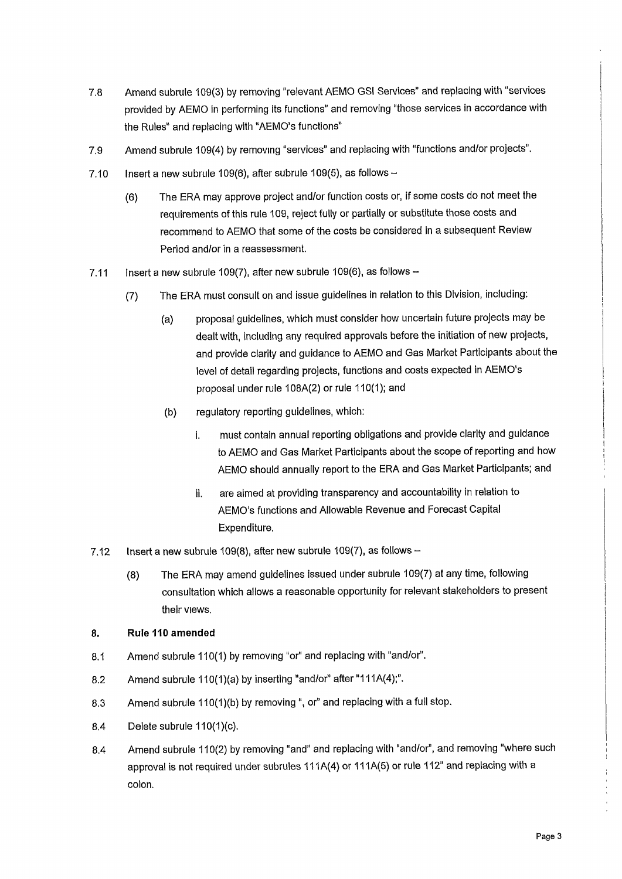- 7.8 Amend subrule 109(3) by removing "relevant AEMO GSI Services" and replacing with "services" provided by AEMO in performing its functions" and removing "those services in accordance with the Rules" and replacing with "AEMO's functions"
- 7.9 Amend subrule 109(4) by removing "services" and replacing with "functions and/or projects".
- 7.10 Insert a new subrule 109(6), after subrule 109(5), as follows  $-$ 
	- (6) The ERA may approve project and/or function costs or, if some costs do not meet the requirements of this rule 109, reject fully or partially or substitute those costs and recommend to AEMO that some of the costs be considered In a subsequent Review Period and/or in a reassessment.
- 7.11 Insert a new subrule 109(7), after new subrule 109(6), as follows  $-$ 
	- (7) The ERA must consult on and issue guidelines in relation to this Division, including:
		- (a) proposal guidelines, which must consider how uncertain future projects may be dealt with, including any required approvals before the initiation of new projects, and provide clarity and guidance to AEMO and Gas Market Participants about the level of detail regarding projects, functions and costs expected in AEMO's proposal under rule 108A(2) or rule 110(1); and
		- (b) regulatory reporting guidelines, which:
			- i. must contain annual reporting obligations and provide clarity and guidance to AEMO and Gas Market Participants about the scope of reporting and how AEMO should annually report to the ERA and Gas Market Participants; and
			- li. are aimed at providing transparency and accountability in relation to AEMO's functions and Allowable Revenue and Forecast Capital Expenditure.
- 7.12 Insert a new subrule 109(8), after new subrule 109(7), as follows  $-$ 
	- (8) The ERA may amend guidelines issued under subrule 109(7) at any time, following consultation which allows a reasonable opportunity for relevant stakeholders to present their views.

# 8. Rule 110 amended

- 8.1 Amend subrule 110(1) by removing "or" and replacing with "and/or".
- 8.2 Amend subrule 110(1)(a) by inserting "and/or" after "111A(4);".
- 8.3 Amend subrule 110(1)(b) by removing ", or" and replacing with a full stop.
- 8.4 Delete subrule 110(1)(c).
- 8.4 Amend subrule 110(2) by removing "and" and replacing with "and/or", and removing "where such approval is not required under subrules 111A(4) or 111A(5) or rule 112" and replacing with a colon.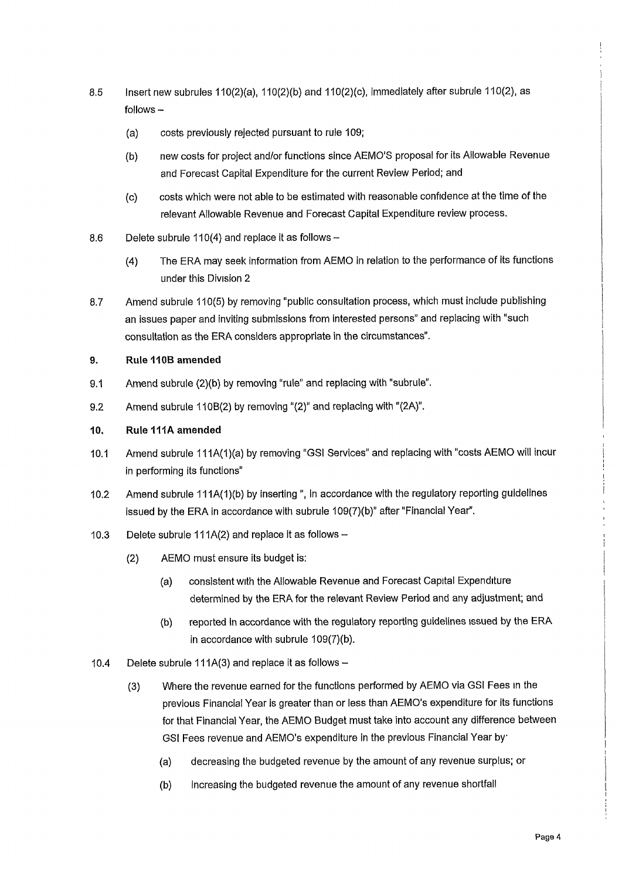- 8.5 Insert new subrules 110(2)(a), 110(2)(b) and 110(2)(c), immediately after subrule 110(2), as  $follows -$ 
	- (a) costs previously rejected pursuant to rule 109;
	- (b) new costs for project and/or functions since AEMO'S proposal for its Allowable Revenue and Forecast Capital Expenditure for the current Review Period; and
	- (c) costs which were not able to be estimated with reasonable confidence at the time of the relevant Allowable Revenue and Forecast Capital Expenditure review process.
- 8.6 Delete subrule 110(4) and replace it as follows  $-$ 
	- (4) The ERA may seek information from AEMO in relation to the performance of its functions under this Division 2
- 8.7 Amend subrule 110(5) by removing "public consultation process, which must include publishing an issues paper and inviting submissions from interested persons" and replacing with "such consultation as the ERA considers appropriate in the circumstances".

# 9. Rule 110B amended

- 9.1 Amend subrule (2)(b) by removing "rule" and replacing with "subrule".
- 9.2 Amend subrule 110B(2) by removing "(2)" and replacing with " $(2A)$ ".

# 10. Rule 111A amended

- 10.1 Amend subrule 111 A(1)(a) by removing "GSI Services" and replacing with "costs AEMO will incur in performing its functions
- 10.2 Amend subrule 111A(1)(b) by inserting ", in accordance with the regulatory reporting guidelines issued by the ERA in accordance with subrule 109(7)(b)" after "Financial Year".
- 10.3 Delete subrule 111 $A(2)$  and replace it as follows -
	- (2) AEMO must ensure its budget is:
		- (a) consistent with the Allowable Revenue and Forecast Capital Expenditure determined by the ERA for the relevant Review Period and any adjustment; and
		- (b) reported in accordance with the regulatory reporting guidelines issued by the ERA in accordance with subrule 109(7)(b).
- 10.4 Delete subrule 111A(3) and replace it as follows  $-$ 
	- (3) Where the revenue earned for the functions performed by AEMO via GSI Fees in the previous Financial Year is greater than or less than AEMO's expenditure for its functions for that Financial Year, the AEMO Budget must take into account any difference between GSI Fees revenue and AEMO's expenditure in the previous Financial Year by
		- (a) decreasing the budgeted revenue by the amount of any revenue surplus; or
		- (b) increasing the budgeted revenue the amount of any revenue shortfall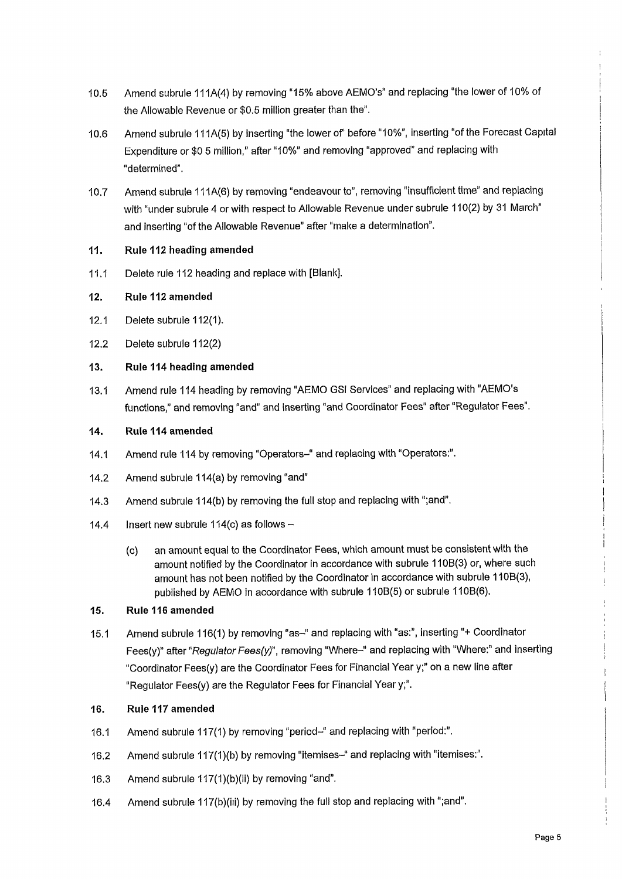- 10.5 Amend subrule 111A(4) by removing "15% above AEMO's" and replacing "the lower of 10% of the Allowable Revenue or \$0.5 million greater than the".
- 10.6 Amend subrule 111A(5) by inserting "the lower of" before "10%", inserting "of the Forecast Capital Expenditure or \$0 5 million," after "10%" and removing "approved" and replacing with "determined".
- 10.7 Amend subrule 111A(6) by removing "endeavour to", removing "insufficient time" and replacing with "under subrule 4 or with respect to Allowable Revenue under subrule 110(2) by 31 March" and inserting "of the Allowable Revenue" after "make a determination".

# 11. Rule 112 heading amended

11.1 Delete rule 112 heading and replace with [Blank].

# 12. Rule 112 amended

- 12.1 Delete subrule 112(1).
- 12.2 Delete subrule 112(2)

## 13. Rule 114 heading amended

13.1 Amend rule 114 heading by removing "AEMO GSI Services" and replacing with "AEMO's functions," and removing "and" and inserting "and Coordinator Fees" after "Regulator Fees".

## 14. Rule 114 amended

- 14.1 Amend rule 114 by removing "Operators-" and replacing with "Operators:".
- 14.2 Amend subrule 114(a) by removing "and"
- 14.3 A mend subrule 114(b) by removing the full stop and replacing with ";and".
- 14.4 Insert new subrule  $114(c)$  as follows -
	- (c) an amount equal to the Coordinator Fees, which amount must be consistent with the amount notified by the Coordinator in accordance with subrule 110B(3) or, where such amount has not been notified by the Coordinator in accordance with subrule 110B(3), published by AEMO in accordance with subrule 110B(5) or subrule 110B(6).

## 15. Rule 116 amended

15.1 Amend subrule 116(1) by removing "as-" and replacing with "as:", inserting "+ Coordinator Fees(y)" after "Regulator Fees(y)", removing "Where-" and replacing with "Where:" and inserting "Coordinator Fees(y) are the Coordinator Fees for Financial Year y;" on a new line after Regulator Fees(y) are the Regulator Fees for Financial Year y;".

## 16. Rule 117 amended

- 16.1 Amend subrule 117(1) by removing "period-" and replacing with "period:".
- 16.2 Amend subrule 117(1)(b) by removing "itemises-" and replacing with "itemises:".
- 16.3 Amend subrule 117(1)(b)(ii) by removing "and".
- 16.4 Amend subrule 117(b)(iii) by removing the full stop and replacing with "; and".